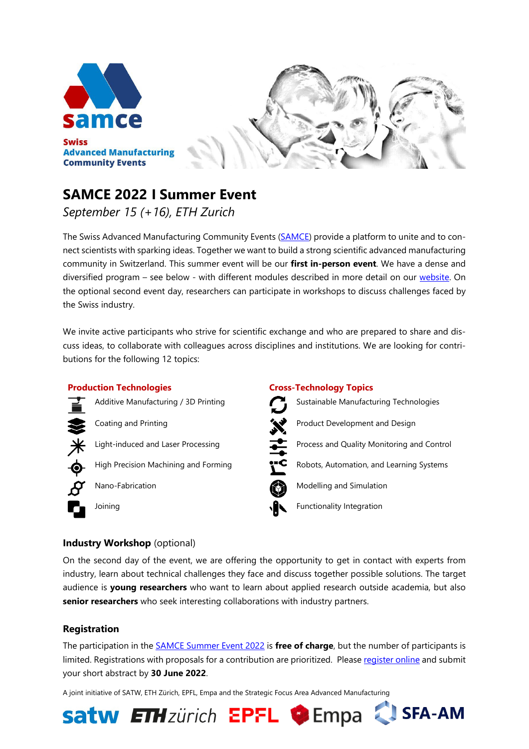



# **[SAMCE 2022 I Summer Event](https://www.samce.ch/samce-2022-summer-event.html)**

*September 15 (+16), ETH Zurich*

The Swiss Advanced Manufacturing Community Events [\(SAMCE\)](http://www.samce.ch/) provide a platform to unite and to connect scientists with sparking ideas. Together we want to build a strong scientific advanced manufacturing community in Switzerland. This summer event will be our **first in-person event**. We have a dense and diversified program – see below - with different modules described in more detail on our [website.](https://www.samce.ch/event-modules.html) On the optional second event day, researchers can participate in workshops to discuss challenges faced by the Swiss industry.

We invite active participants who strive for scientific exchange and who are prepared to share and discuss ideas, to collaborate with colleagues across disciplines and institutions. We are looking for contributions for the following 12 topics:

#### **Production Technologies Cross-Technology Topics**





#### **Industry Workshop** (optional)

On the second day of the event, we are offering the opportunity to get in contact with experts from industry, learn about technical challenges they face and discuss together possible solutions. The target audience is **young researchers** who want to learn about applied research outside academia, but also **senior researchers** who seek interesting collaborations with industry partners.

#### **Registration**

The participation in the [SAMCE Summer Event 2022](https://www.samce.ch/samce-2022-summer-event.html) is **free of charge**, but the number of participants is limited. Registrations with proposals for a contribution are prioritized. Pleas[e register online](https://www.samce.ch/registration-samce-2022-summer-event.html) and submit your short abstract by **30 June 2022**.

**Satw ETH**zürich EPFL CEmpa & SFA-AM

A joint initiative of SATW, ETH Zürich, EPFL, Empa and the Strategic Focus Area Advanced Manufacturing